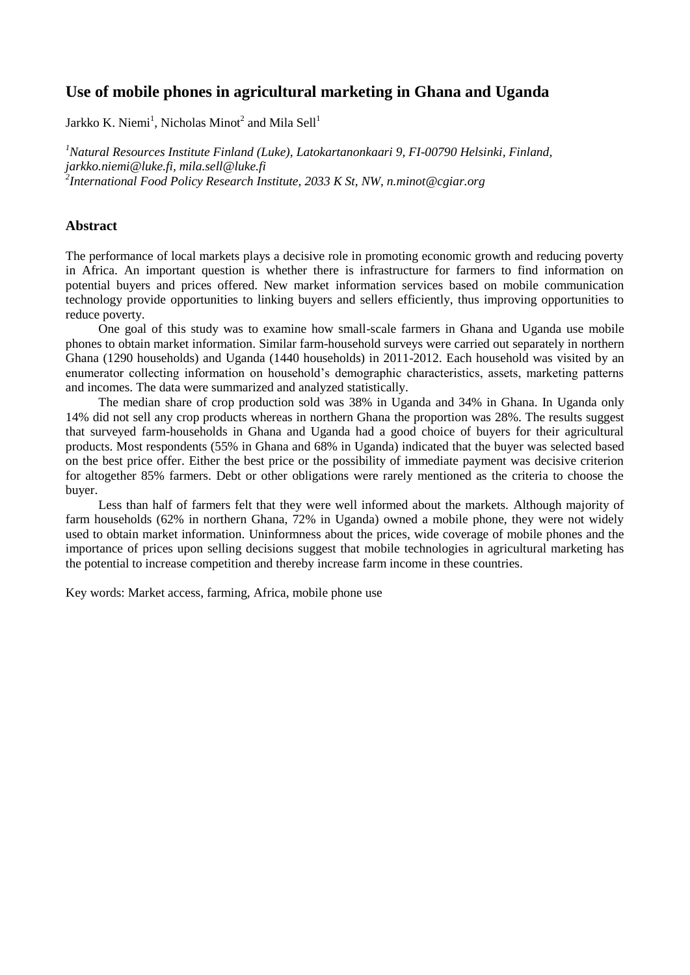# **Use of mobile phones in agricultural marketing in Ghana and Uganda**

Jarkko K. Niemi<sup>1</sup>, Nicholas Minot<sup>2</sup> and Mila Sell<sup>1</sup>

*<sup>1</sup>Natural Resources Institute Finland (Luke), Latokartanonkaari 9, FI-00790 Helsinki, Finland, jarkko.niemi@luke.fi, mila.sell@luke.fi 2 International Food Policy Research Institute, 2033 K St, NW, n.minot@cgiar.org* 

# **Abstract**

The performance of local markets plays a decisive role in promoting economic growth and reducing poverty in Africa. An important question is whether there is infrastructure for farmers to find information on potential buyers and prices offered. New market information services based on mobile communication technology provide opportunities to linking buyers and sellers efficiently, thus improving opportunities to reduce poverty.

One goal of this study was to examine how small-scale farmers in Ghana and Uganda use mobile phones to obtain market information. Similar farm-household surveys were carried out separately in northern Ghana (1290 households) and Uganda (1440 households) in 2011-2012. Each household was visited by an enumerator collecting information on household's demographic characteristics, assets, marketing patterns and incomes. The data were summarized and analyzed statistically.

The median share of crop production sold was 38% in Uganda and 34% in Ghana. In Uganda only 14% did not sell any crop products whereas in northern Ghana the proportion was 28%. The results suggest that surveyed farm-households in Ghana and Uganda had a good choice of buyers for their agricultural products. Most respondents (55% in Ghana and 68% in Uganda) indicated that the buyer was selected based on the best price offer. Either the best price or the possibility of immediate payment was decisive criterion for altogether 85% farmers. Debt or other obligations were rarely mentioned as the criteria to choose the buyer.

Less than half of farmers felt that they were well informed about the markets. Although majority of farm households (62% in northern Ghana, 72% in Uganda) owned a mobile phone, they were not widely used to obtain market information. Uninformness about the prices, wide coverage of mobile phones and the importance of prices upon selling decisions suggest that mobile technologies in agricultural marketing has the potential to increase competition and thereby increase farm income in these countries.

Key words: Market access, farming, Africa, mobile phone use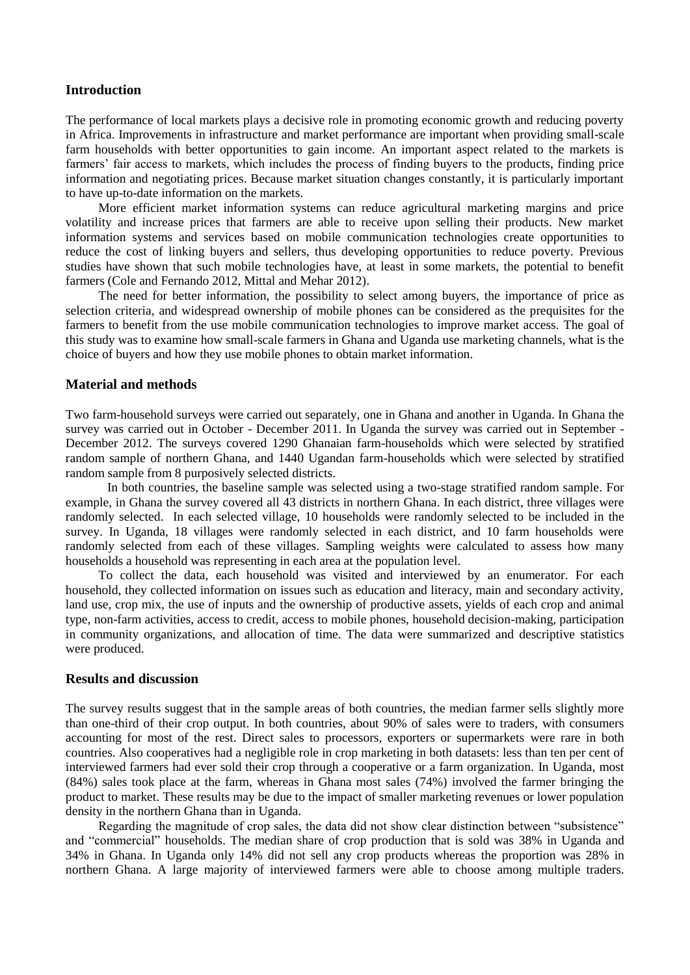## **Introduction**

The performance of local markets plays a decisive role in promoting economic growth and reducing poverty in Africa. Improvements in infrastructure and market performance are important when providing small-scale farm households with better opportunities to gain income. An important aspect related to the markets is farmers' fair access to markets, which includes the process of finding buyers to the products, finding price information and negotiating prices. Because market situation changes constantly, it is particularly important to have up-to-date information on the markets.

More efficient market information systems can reduce agricultural marketing margins and price volatility and increase prices that farmers are able to receive upon selling their products. New market information systems and services based on mobile communication technologies create opportunities to reduce the cost of linking buyers and sellers, thus developing opportunities to reduce poverty. Previous studies have shown that such mobile technologies have, at least in some markets, the potential to benefit farmers (Cole and Fernando 2012, Mittal and Mehar 2012).

The need for better information, the possibility to select among buyers, the importance of price as selection criteria, and widespread ownership of mobile phones can be considered as the prequisites for the farmers to benefit from the use mobile communication technologies to improve market access. The goal of this study was to examine how small-scale farmers in Ghana and Uganda use marketing channels, what is the choice of buyers and how they use mobile phones to obtain market information.

## **Material and methods**

Two farm-household surveys were carried out separately, one in Ghana and another in Uganda. In Ghana the survey was carried out in October - December 2011. In Uganda the survey was carried out in September - December 2012. The surveys covered 1290 Ghanaian farm-households which were selected by stratified random sample of northern Ghana, and 1440 Ugandan farm-households which were selected by stratified random sample from 8 purposively selected districts.

In both countries, the baseline sample was selected using a two-stage stratified random sample. For example, in Ghana the survey covered all 43 districts in northern Ghana. In each district, three villages were randomly selected. In each selected village, 10 households were randomly selected to be included in the survey. In Uganda, 18 villages were randomly selected in each district, and 10 farm households were randomly selected from each of these villages. Sampling weights were calculated to assess how many households a household was representing in each area at the population level.

To collect the data, each household was visited and interviewed by an enumerator. For each household, they collected information on issues such as education and literacy, main and secondary activity, land use, crop mix, the use of inputs and the ownership of productive assets, yields of each crop and animal type, non-farm activities, access to credit, access to mobile phones, household decision-making, participation in community organizations, and allocation of time. The data were summarized and descriptive statistics were produced.

#### **Results and discussion**

The survey results suggest that in the sample areas of both countries, the median farmer sells slightly more than one-third of their crop output. In both countries, about 90% of sales were to traders, with consumers accounting for most of the rest. Direct sales to processors, exporters or supermarkets were rare in both countries. Also cooperatives had a negligible role in crop marketing in both datasets: less than ten per cent of interviewed farmers had ever sold their crop through a cooperative or a farm organization. In Uganda, most (84%) sales took place at the farm, whereas in Ghana most sales (74%) involved the farmer bringing the product to market. These results may be due to the impact of smaller marketing revenues or lower population density in the northern Ghana than in Uganda.

Regarding the magnitude of crop sales, the data did not show clear distinction between "subsistence" and "commercial" households. The median share of crop production that is sold was 38% in Uganda and 34% in Ghana. In Uganda only 14% did not sell any crop products whereas the proportion was 28% in northern Ghana. A large majority of interviewed farmers were able to choose among multiple traders.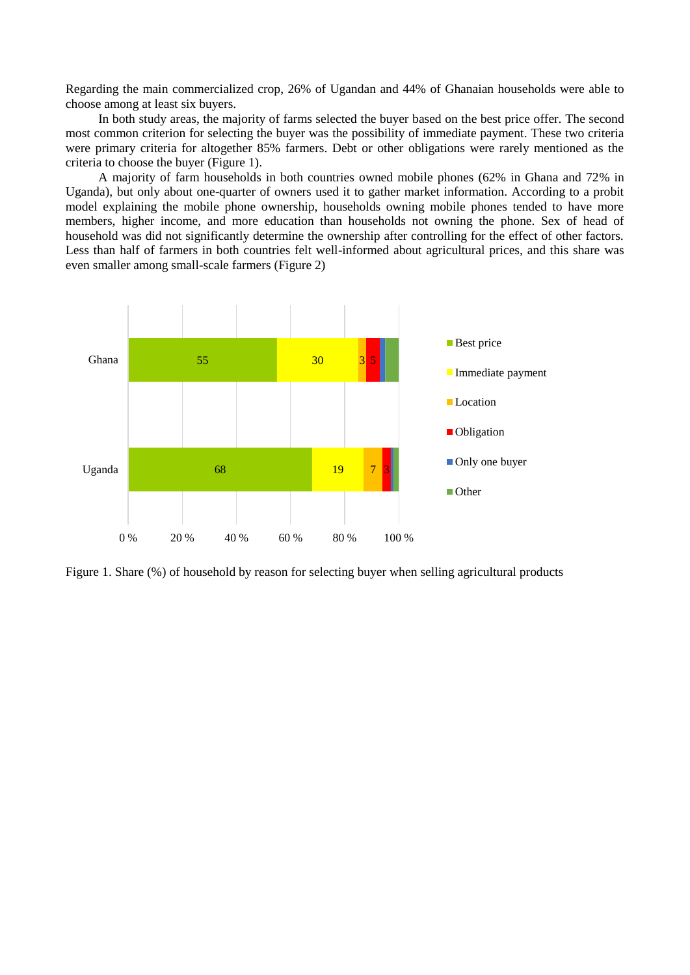Regarding the main commercialized crop, 26% of Ugandan and 44% of Ghanaian households were able to choose among at least six buyers.

In both study areas, the majority of farms selected the buyer based on the best price offer. The second most common criterion for selecting the buyer was the possibility of immediate payment. These two criteria were primary criteria for altogether 85% farmers. Debt or other obligations were rarely mentioned as the criteria to choose the buyer (Figure 1).

A majority of farm households in both countries owned mobile phones (62% in Ghana and 72% in Uganda), but only about one-quarter of owners used it to gather market information. According to a probit model explaining the mobile phone ownership, households owning mobile phones tended to have more members, higher income, and more education than households not owning the phone. Sex of head of household was did not significantly determine the ownership after controlling for the effect of other factors. Less than half of farmers in both countries felt well-informed about agricultural prices, and this share was even smaller among small-scale farmers (Figure 2)



Figure 1. Share (%) of household by reason for selecting buyer when selling agricultural products